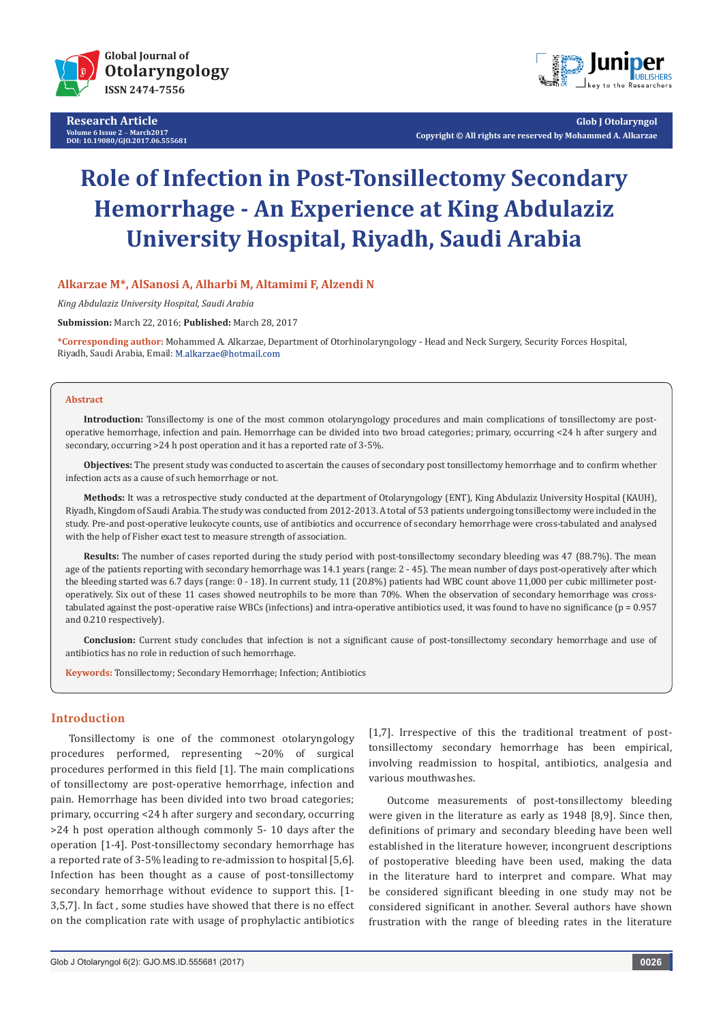

**Research Article Volume 6 Issue 2** - **March2017 DOI: [10.19080/GJO.2017.06.555681](http://dx.doi.org/10.19080/GJO.2017.06.555681)**



**Glob J Otolaryngol Copyright © All rights are reserved by Mohammed A. Alkarzae**

# **Role of Infection in Post-Tonsillectomy Secondary Hemorrhage - An Experience at King Abdulaziz University Hospital, Riyadh, Saudi Arabia**

## **Alkarzae M\*, AlSanosi A, Alharbi M, Altamimi F, Alzendi N**

*King Abdulaziz University Hospital, Saudi Arabia*

**Submission:** March 22, 2016; **Published:** March 28, 2017

**\*Corresponding author:** Mohammed A. Alkarzae, Department of Otorhinolaryngology - Head and Neck Surgery, Security Forces Hospital, Riyadh, Saudi Arabia, Email:

#### **Abstract**

**Introduction:** Tonsillectomy is one of the most common otolaryngology procedures and main complications of tonsillectomy are postoperative hemorrhage, infection and pain. Hemorrhage can be divided into two broad categories; primary, occurring <24 h after surgery and secondary, occurring >24 h post operation and it has a reported rate of 3-5%.

**Objectives:** The present study was conducted to ascertain the causes of secondary post tonsillectomy hemorrhage and to confirm whether infection acts as a cause of such hemorrhage or not.

**Methods:** It was a retrospective study conducted at the department of Otolaryngology (ENT), King Abdulaziz University Hospital (KAUH), Riyadh, Kingdom of Saudi Arabia. The study was conducted from 2012-2013. A total of 53 patients undergoing tonsillectomy were included in the study. Pre-and post-operative leukocyte counts, use of antibiotics and occurrence of secondary hemorrhage were cross-tabulated and analysed with the help of Fisher exact test to measure strength of association.

**Results:** The number of cases reported during the study period with post-tonsillectomy secondary bleeding was 47 (88.7%). The mean age of the patients reporting with secondary hemorrhage was 14.1 years (range: 2 - 45). The mean number of days post-operatively after which the bleeding started was 6.7 days (range: 0 - 18). In current study, 11 (20.8%) patients had WBC count above 11,000 per cubic millimeter postoperatively. Six out of these 11 cases showed neutrophils to be more than 70%. When the observation of secondary hemorrhage was crosstabulated against the post-operative raise WBCs (infections) and intra-operative antibiotics used, it was found to have no significance (p = 0.957 and 0.210 respectively).

**Conclusion:** Current study concludes that infection is not a significant cause of post-tonsillectomy secondary hemorrhage and use of antibiotics has no role in reduction of such hemorrhage.

**Keywords:** Tonsillectomy; Secondary Hemorrhage; Infection; Antibiotics

## **Introduction**

Tonsillectomy is one of the commonest otolaryngology procedures performed, representing  $\approx$  20% of surgical procedures performed in this field [1]. The main complications of tonsillectomy are post-operative hemorrhage, infection and pain. Hemorrhage has been divided into two broad categories; primary, occurring <24 h after surgery and secondary, occurring >24 h post operation although commonly 5- 10 days after the operation [1-4]. Post-tonsillectomy secondary hemorrhage has a reported rate of 3-5% leading to re-admission to hospital [5,6]. Infection has been thought as a cause of post-tonsillectomy secondary hemorrhage without evidence to support this. [1- 3,5,7]. In fact , some studies have showed that there is no effect on the complication rate with usage of prophylactic antibiotics

[1,7]. Irrespective of this the traditional treatment of posttonsillectomy secondary hemorrhage has been empirical, involving readmission to hospital, antibiotics, analgesia and various mouthwashes.

Outcome measurements of post-tonsillectomy bleeding were given in the literature as early as 1948 [8,9]. Since then, definitions of primary and secondary bleeding have been well established in the literature however, incongruent descriptions of postoperative bleeding have been used, making the data in the literature hard to interpret and compare. What may be considered significant bleeding in one study may not be considered significant in another. Several authors have shown frustration with the range of bleeding rates in the literature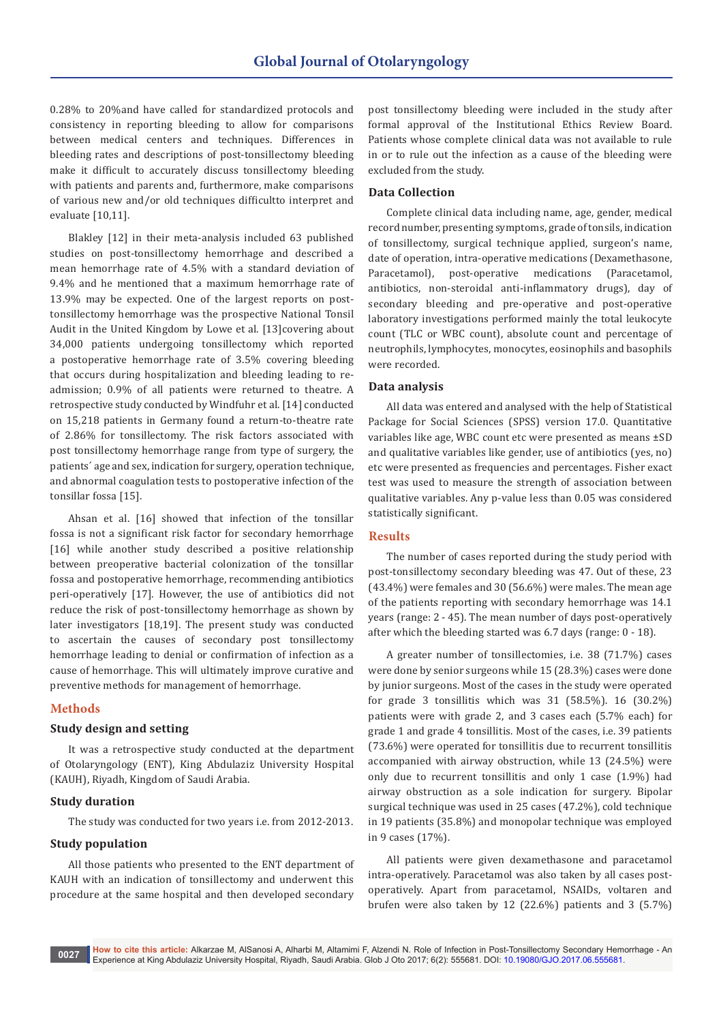0.28% to 20%and have called for standardized protocols and consistency in reporting bleeding to allow for comparisons between medical centers and techniques. Differences in bleeding rates and descriptions of post-tonsillectomy bleeding make it difficult to accurately discuss tonsillectomy bleeding with patients and parents and, furthermore, make comparisons of various new and/or old techniques difficultto interpret and evaluate [10,11].

Blakley [12] in their meta-analysis included 63 published studies on post-tonsillectomy hemorrhage and described a mean hemorrhage rate of 4.5% with a standard deviation of 9.4% and he mentioned that a maximum hemorrhage rate of 13.9% may be expected. One of the largest reports on posttonsillectomy hemorrhage was the prospective National Tonsil Audit in the United Kingdom by Lowe et al. [13]covering about 34,000 patients undergoing tonsillectomy which reported a postoperative hemorrhage rate of 3.5% covering bleeding that occurs during hospitalization and bleeding leading to readmission; 0.9% of all patients were returned to theatre. A retrospective study conducted by Windfuhr et al. [14] conducted on 15,218 patients in Germany found a return-to-theatre rate of 2.86% for tonsillectomy. The risk factors associated with post tonsillectomy hemorrhage range from type of surgery, the patients´ age and sex, indication for surgery, operation technique, and abnormal coagulation tests to postoperative infection of the tonsillar fossa [15].

Ahsan et al. [16] showed that infection of the tonsillar fossa is not a significant risk factor for secondary hemorrhage [16] while another study described a positive relationship between preoperative bacterial colonization of the tonsillar fossa and postoperative hemorrhage, recommending antibiotics peri-operatively [17]. However, the use of antibiotics did not reduce the risk of post-tonsillectomy hemorrhage as shown by later investigators [18,19]. The present study was conducted to ascertain the causes of secondary post tonsillectomy hemorrhage leading to denial or confirmation of infection as a cause of hemorrhage. This will ultimately improve curative and preventive methods for management of hemorrhage.

# **Methods**

#### **Study design and setting**

It was a retrospective study conducted at the department of Otolaryngology (ENT), King Abdulaziz University Hospital (KAUH), Riyadh, Kingdom of Saudi Arabia.

#### **Study duration**

The study was conducted for two years i.e. from 2012-2013.

## **Study population**

All those patients who presented to the ENT department of KAUH with an indication of tonsillectomy and underwent this procedure at the same hospital and then developed secondary

post tonsillectomy bleeding were included in the study after formal approval of the Institutional Ethics Review Board. Patients whose complete clinical data was not available to rule in or to rule out the infection as a cause of the bleeding were excluded from the study.

## **Data Collection**

Complete clinical data including name, age, gender, medical record number, presenting symptoms, grade of tonsils, indication of tonsillectomy, surgical technique applied, surgeon's name, date of operation, intra-operative medications (Dexamethasone,<br>Paracetamol), post-operative medications (Paracetamol, post-operative antibiotics, non-steroidal anti-inflammatory drugs), day of secondary bleeding and pre-operative and post-operative laboratory investigations performed mainly the total leukocyte count (TLC or WBC count), absolute count and percentage of neutrophils, lymphocytes, monocytes, eosinophils and basophils were recorded.

#### **Data analysis**

All data was entered and analysed with the help of Statistical Package for Social Sciences (SPSS) version 17.0. Quantitative variables like age, WBC count etc were presented as means ±SD and qualitative variables like gender, use of antibiotics (yes, no) etc were presented as frequencies and percentages. Fisher exact test was used to measure the strength of association between qualitative variables. Any p-value less than 0.05 was considered statistically significant.

#### **Results**

The number of cases reported during the study period with post-tonsillectomy secondary bleeding was 47. Out of these, 23 (43.4%) were females and 30 (56.6%) were males. The mean age of the patients reporting with secondary hemorrhage was 14.1 years (range: 2 - 45). The mean number of days post-operatively after which the bleeding started was 6.7 days (range: 0 - 18).

A greater number of tonsillectomies, i.e. 38 (71.7%) cases were done by senior surgeons while 15 (28.3%) cases were done by junior surgeons. Most of the cases in the study were operated for grade 3 tonsillitis which was 31 (58.5%). 16 (30.2%) patients were with grade 2, and 3 cases each (5.7% each) for grade 1 and grade 4 tonsillitis. Most of the cases, i.e. 39 patients (73.6%) were operated for tonsillitis due to recurrent tonsillitis accompanied with airway obstruction, while 13 (24.5%) were only due to recurrent tonsillitis and only 1 case (1.9%) had airway obstruction as a sole indication for surgery. Bipolar surgical technique was used in 25 cases (47.2%), cold technique in 19 patients (35.8%) and monopolar technique was employed in 9 cases (17%).

All patients were given dexamethasone and paracetamol intra-operatively. Paracetamol was also taken by all cases postoperatively. Apart from paracetamol, NSAIDs, voltaren and brufen were also taken by 12 (22.6%) patients and 3 (5.7%)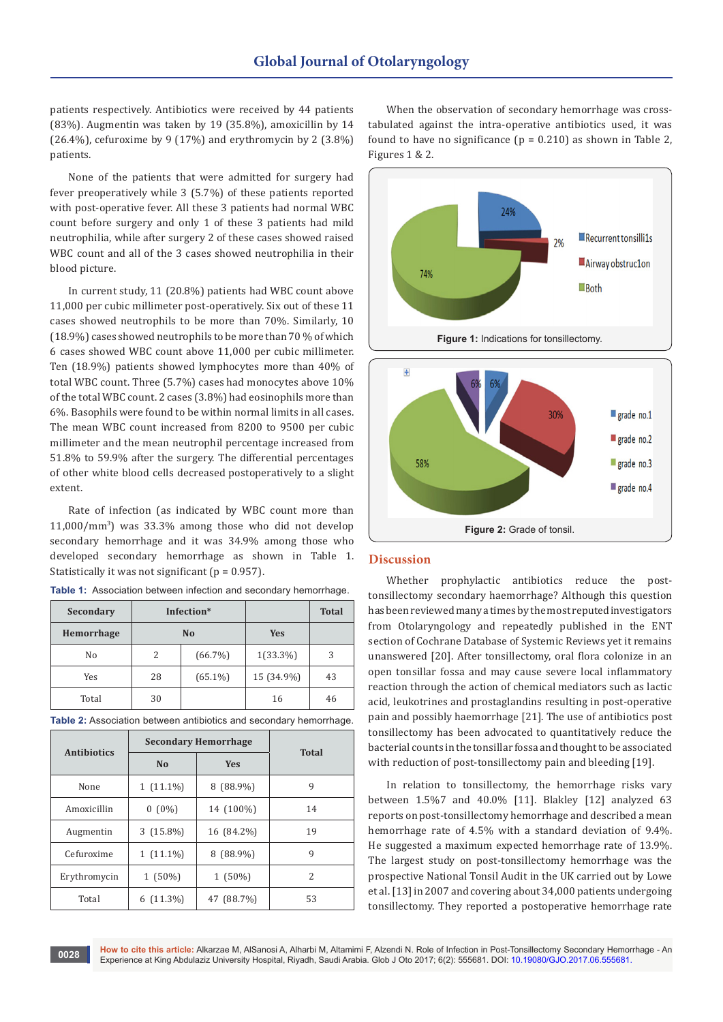patients respectively. Antibiotics were received by 44 patients (83%). Augmentin was taken by 19 (35.8%), amoxicillin by 14 (26.4%), cefuroxime by 9 (17%) and erythromycin by 2 (3.8%) patients.

None of the patients that were admitted for surgery had fever preoperatively while 3 (5.7%) of these patients reported with post-operative fever. All these 3 patients had normal WBC count before surgery and only 1 of these 3 patients had mild neutrophilia, while after surgery 2 of these cases showed raised WBC count and all of the 3 cases showed neutrophilia in their blood picture.

In current study, 11 (20.8%) patients had WBC count above 11,000 per cubic millimeter post-operatively. Six out of these 11 cases showed neutrophils to be more than 70%. Similarly, 10 (18.9%) cases showed neutrophils to be more than 70 % of which 6 cases showed WBC count above 11,000 per cubic millimeter. Ten (18.9%) patients showed lymphocytes more than 40% of total WBC count. Three (5.7%) cases had monocytes above 10% of the total WBC count. 2 cases (3.8%) had eosinophils more than 6%. Basophils were found to be within normal limits in all cases. The mean WBC count increased from 8200 to 9500 per cubic millimeter and the mean neutrophil percentage increased from 51.8% to 59.9% after the surgery. The differential percentages of other white blood cells decreased postoperatively to a slight extent.

Rate of infection (as indicated by WBC count more than 11,000/mm<sup>3</sup> ) was 33.3% among those who did not develop secondary hemorrhage and it was 34.9% among those who developed secondary hemorrhage as shown in Table 1. Statistically it was not significant ( $p = 0.957$ ).

| Secondary  | Infection*     |            |             | <b>Total</b> |
|------------|----------------|------------|-------------|--------------|
| Hemorrhage | N <sub>0</sub> |            | Yes         |              |
| No         | 2              | $(66.7\%)$ | $1(33.3\%)$ | 3            |
| Yes        | 28             | $(65.1\%)$ | 15 (34.9%)  | 43           |
| Total      | 30             |            | 16          | 46           |

**Table 1:** Association between infection and secondary hemorrhage.

**Table 2:** Association between antibiotics and secondary hemorrhage.

|                    | <b>Secondary Hemorrhage</b> |             |              |  |
|--------------------|-----------------------------|-------------|--------------|--|
| <b>Antibiotics</b> | N <sub>0</sub>              | <b>Yes</b>  | <b>Total</b> |  |
| None               | $1(11.1\%)$                 | $8(88.9\%)$ | 9            |  |
| Amoxicillin        | $0(0\%)$                    | 14 (100%)   | 14           |  |
| Augmentin          | $3(15.8\%)$                 | 16 (84.2%)  | 19           |  |
| Cefuroxime         | $1(11.1\%)$                 | $8(88.9\%)$ | 9            |  |
| Erythromycin       | $1(50\%)$                   | $1(50\%)$   | 2            |  |
| Total              | $6(11.3\%)$                 | 47 (88.7%)  | 53           |  |

When the observation of secondary hemorrhage was crosstabulated against the intra-operative antibiotics used, it was found to have no significance ( $p = 0.210$ ) as shown in Table 2, Figures 1 & 2.



#### **Discussion**

Whether prophylactic antibiotics reduce the posttonsillectomy secondary haemorrhage? Although this question has been reviewed many a times by the most reputed investigators from Otolaryngology and repeatedly published in the ENT section of Cochrane Database of Systemic Reviews yet it remains unanswered [20]. After tonsillectomy, oral flora colonize in an open tonsillar fossa and may cause severe local inflammatory reaction through the action of chemical mediators such as lactic acid, leukotrines and prostaglandins resulting in post-operative pain and possibly haemorrhage [21]. The use of antibiotics post tonsillectomy has been advocated to quantitatively reduce the bacterial counts in the tonsillar fossa and thought to be associated with reduction of post-tonsillectomy pain and bleeding [19].

**Figure 2:** Grade of tonsil.

In relation to tonsillectomy, the hemorrhage risks vary between 1.5%7 and 40.0% [11]. Blakley [12] analyzed 63 reports on post-tonsillectomy hemorrhage and described a mean hemorrhage rate of 4.5% with a standard deviation of 9.4%. He suggested a maximum expected hemorrhage rate of 13.9%. The largest study on post-tonsillectomy hemorrhage was the prospective National Tonsil Audit in the UK carried out by Lowe et al. [13] in 2007 and covering about 34,000 patients undergoing tonsillectomy. They reported a postoperative hemorrhage rate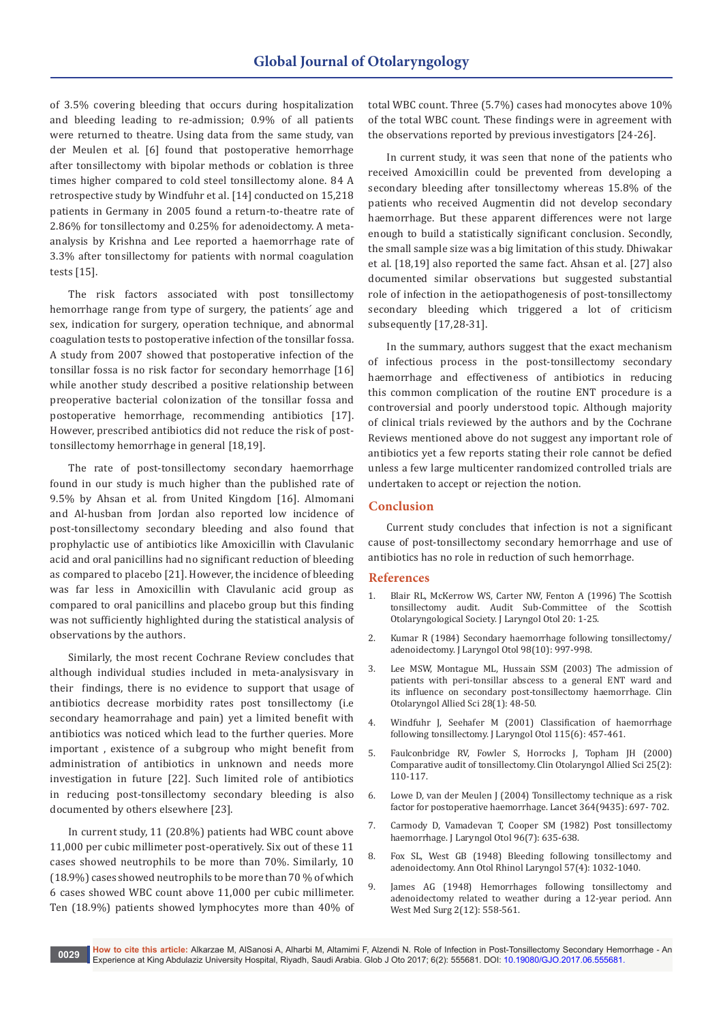of 3.5% covering bleeding that occurs during hospitalization and bleeding leading to re-admission; 0.9% of all patients were returned to theatre. Using data from the same study, van der Meulen et al. [6] found that postoperative hemorrhage after tonsillectomy with bipolar methods or coblation is three times higher compared to cold steel tonsillectomy alone. 84 A retrospective study by Windfuhr et al. [14] conducted on 15,218 patients in Germany in 2005 found a return-to-theatre rate of 2.86% for tonsillectomy and 0.25% for adenoidectomy. A metaanalysis by Krishna and Lee reported a haemorrhage rate of 3.3% after tonsillectomy for patients with normal coagulation tests [15].

The risk factors associated with post tonsillectomy hemorrhage range from type of surgery, the patients´ age and sex, indication for surgery, operation technique, and abnormal coagulation tests to postoperative infection of the tonsillar fossa. A study from 2007 showed that postoperative infection of the tonsillar fossa is no risk factor for secondary hemorrhage [16] while another study described a positive relationship between preoperative bacterial colonization of the tonsillar fossa and postoperative hemorrhage, recommending antibiotics [17]. However, prescribed antibiotics did not reduce the risk of posttonsillectomy hemorrhage in general [18,19].

The rate of post-tonsillectomy secondary haemorrhage found in our study is much higher than the published rate of 9.5% by Ahsan et al. from United Kingdom [16]. Almomani and Al-husban from Jordan also reported low incidence of post-tonsillectomy secondary bleeding and also found that prophylactic use of antibiotics like Amoxicillin with Clavulanic acid and oral panicillins had no significant reduction of bleeding as compared to placebo [21]. However, the incidence of bleeding was far less in Amoxicillin with Clavulanic acid group as compared to oral panicillins and placebo group but this finding was not sufficiently highlighted during the statistical analysis of observations by the authors.

Similarly, the most recent Cochrane Review concludes that although individual studies included in meta-analysisvary in their findings, there is no evidence to support that usage of antibiotics decrease morbidity rates post tonsillectomy (i.e secondary heamorrahage and pain) yet a limited benefit with antibiotics was noticed which lead to the further queries. More important , existence of a subgroup who might benefit from administration of antibiotics in unknown and needs more investigation in future [22]. Such limited role of antibiotics in reducing post-tonsillectomy secondary bleeding is also documented by others elsewhere [23].

In current study, 11 (20.8%) patients had WBC count above 11,000 per cubic millimeter post-operatively. Six out of these 11 cases showed neutrophils to be more than 70%. Similarly, 10 (18.9%) cases showed neutrophils to be more than 70 % of which 6 cases showed WBC count above 11,000 per cubic millimeter. Ten (18.9%) patients showed lymphocytes more than 40% of total WBC count. Three (5.7%) cases had monocytes above 10% of the total WBC count. These findings were in agreement with the observations reported by previous investigators [24-26].

In current study, it was seen that none of the patients who received Amoxicillin could be prevented from developing a secondary bleeding after tonsillectomy whereas 15.8% of the patients who received Augmentin did not develop secondary haemorrhage. But these apparent differences were not large enough to build a statistically significant conclusion. Secondly, the small sample size was a big limitation of this study. Dhiwakar et al. [18,19] also reported the same fact. Ahsan et al. [27] also documented similar observations but suggested substantial role of infection in the aetiopathogenesis of post-tonsillectomy secondary bleeding which triggered a lot of criticism subsequently [17,28-31].

In the summary, authors suggest that the exact mechanism of infectious process in the post-tonsillectomy secondary haemorrhage and effectiveness of antibiotics in reducing this common complication of the routine ENT procedure is a controversial and poorly understood topic. Although majority of clinical trials reviewed by the authors and by the Cochrane Reviews mentioned above do not suggest any important role of antibiotics yet a few reports stating their role cannot be defied unless a few large multicenter randomized controlled trials are undertaken to accept or rejection the notion.

## **Conclusion**

Current study concludes that infection is not a significant cause of post-tonsillectomy secondary hemorrhage and use of antibiotics has no role in reduction of such hemorrhage.

#### **References**

- 1. [Blair RL, McKerrow WS, Carter NW, Fenton A \(1996\) The Scottish](https://www.ncbi.nlm.nih.gov/pubmed/8915202)  [tonsillectomy audit. Audit Sub-Committee of the Scottish](https://www.ncbi.nlm.nih.gov/pubmed/8915202)  [Otolaryngological Society. J Laryngol Otol 20: 1-25.](https://www.ncbi.nlm.nih.gov/pubmed/8915202)
- 2. [Kumar R \(1984\) Secondary haemorrhage following tonsillectomy/](https://www.ncbi.nlm.nih.gov/pubmed/6387017) [adenoidectomy. J Laryngol Otol 98\(10\): 997-998.](https://www.ncbi.nlm.nih.gov/pubmed/6387017)
- 3. [Lee MSW, Montague ML, Hussain SSM \(2003\) The admission of](https://www.ncbi.nlm.nih.gov/pubmed/12580881)  [patients with peri-tonsillar abscess to a general ENT ward and](https://www.ncbi.nlm.nih.gov/pubmed/12580881)  [its influence on secondary post-tonsillectomy haemorrhage. Clin](https://www.ncbi.nlm.nih.gov/pubmed/12580881)  [Otolaryngol Allied Sci 28\(1\): 48-50.](https://www.ncbi.nlm.nih.gov/pubmed/12580881)
- 4. [Windfuhr J, Seehafer M \(2001\) Classification of haemorrhage](https://www.ncbi.nlm.nih.gov/pubmed/11429068)  [following tonsillectomy. J Laryngol Otol 115\(6\): 457-461.](https://www.ncbi.nlm.nih.gov/pubmed/11429068)
- 5. [Faulconbridge RV, Fowler S, Horrocks J, Topham JH \(2000\)](https://www.ncbi.nlm.nih.gov/pubmed/10816213)  [Comparative audit of tonsillectomy. Clin Otolaryngol Allied Sci 25\(2\):](https://www.ncbi.nlm.nih.gov/pubmed/10816213)  [110-117.](https://www.ncbi.nlm.nih.gov/pubmed/10816213)
- 6. [Lowe D, van der Meulen J \(2004\) Tonsillectomy technique as a risk](https://www.ncbi.nlm.nih.gov/pubmed/15325834)  [factor for postoperative haemorrhage. Lancet 364\(9435\): 697- 702.](https://www.ncbi.nlm.nih.gov/pubmed/15325834)
- 7. Carmody D, Vamadevan T, Cooper SM (1982) Post tonsillectomy haemorrhage. J Laryngol Otol 96(7): 635-638.
- 8. [Fox SL, West GB \(1948\) Bleeding following tonsillectomy and](http://journals.sagepub.com/doi/abs/10.1177/000348944805700411)  [adenoidectomy. Ann Otol Rhinol Laryngol 57\(4\): 1032-1040.](http://journals.sagepub.com/doi/abs/10.1177/000348944805700411)
- 9. [James AG \(1948\) Hemorrhages following tonsillectomy and](https://www.ncbi.nlm.nih.gov/pubmed/18122737)  [adenoidectomy related to weather during a 12-year period. Ann](https://www.ncbi.nlm.nih.gov/pubmed/18122737)  [West Med Surg 2\(12\): 558-561.](https://www.ncbi.nlm.nih.gov/pubmed/18122737)